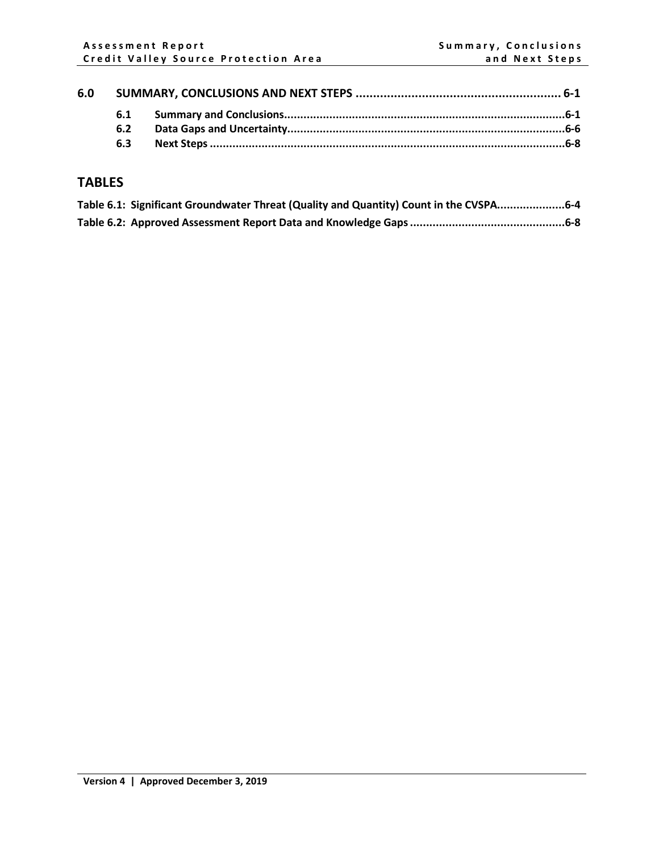| 6.0 |     |  |  |
|-----|-----|--|--|
|     | 6.1 |  |  |
|     | 6.2 |  |  |
|     | 6.3 |  |  |

## **TABLES**

| Table 6.1: Significant Groundwater Threat (Quality and Quantity) Count in the CVSPA6-4 |  |
|----------------------------------------------------------------------------------------|--|
|                                                                                        |  |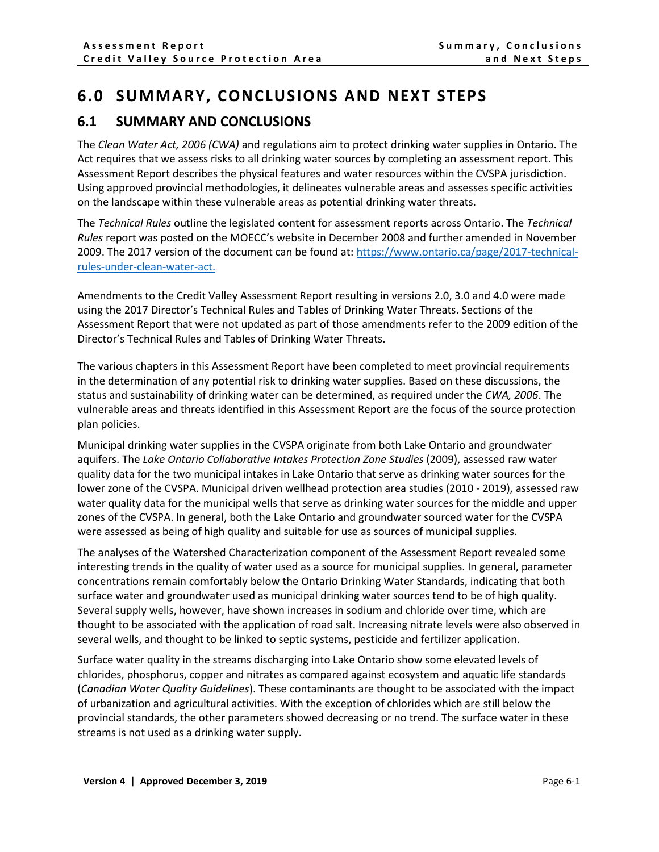# <span id="page-1-0"></span>**6.0 SUMMARY, CONCLUSIONS AND NEXT STEPS**

### <span id="page-1-1"></span>**6.1 SUMMARY AND CONCLUSIONS**

The *Clean Water Act, 2006 (CWA)* and regulations aim to protect drinking water supplies in Ontario. The Act requires that we assess risks to all drinking water sources by completing an assessment report. This Assessment Report describes the physical features and water resources within the CVSPA jurisdiction. Using approved provincial methodologies, it delineates vulnerable areas and assesses specific activities on the landscape within these vulnerable areas as potential drinking water threats.

The *Technical Rules* outline the legislated content for assessment reports across Ontario. The *Technical Rules* report was posted on the MOECC's website in December 2008 and further amended in November 2009. The 2017 version of the document can be found at: [https://www.ontario.ca/page/2017-technical](https://can01.safelinks.protection.outlook.com/?url=https%3A%2F%2Fwww.ontario.ca%2Fpage%2F2017-technical-rules-under-clean-water-act&data=04%7C01%7CKerry.Mulchansingh%40cvc.ca%7C54164aadaf964a49eca708d9fc7d851e%7C2f58dc7868b74844b5bc88c37edd24f1%7C0%7C0%7C637818438320577836%7CUnknown%7CTWFpbGZsb3d8eyJWIjoiMC4wLjAwMDAiLCJQIjoiV2luMzIiLCJBTiI6Ik1haWwiLCJXVCI6Mn0%3D%7C3000&sdata=ElFIIU7CA7NN%2BO8oYzX1qW28awadhS5HgUC5drFx1XM%3D&reserved=0)[rules-under-clean-water-act.](https://can01.safelinks.protection.outlook.com/?url=https%3A%2F%2Fwww.ontario.ca%2Fpage%2F2017-technical-rules-under-clean-water-act&data=04%7C01%7CKerry.Mulchansingh%40cvc.ca%7C54164aadaf964a49eca708d9fc7d851e%7C2f58dc7868b74844b5bc88c37edd24f1%7C0%7C0%7C637818438320577836%7CUnknown%7CTWFpbGZsb3d8eyJWIjoiMC4wLjAwMDAiLCJQIjoiV2luMzIiLCJBTiI6Ik1haWwiLCJXVCI6Mn0%3D%7C3000&sdata=ElFIIU7CA7NN%2BO8oYzX1qW28awadhS5HgUC5drFx1XM%3D&reserved=0)

Amendments to the Credit Valley Assessment Report resulting in versions 2.0, 3.0 and 4.0 were made using the 2017 Director's Technical Rules and Tables of Drinking Water Threats. Sections of the Assessment Report that were not updated as part of those amendments refer to the 2009 edition of the Director's Technical Rules and Tables of Drinking Water Threats.

The various chapters in this Assessment Report have been completed to meet provincial requirements in the determination of any potential risk to drinking water supplies. Based on these discussions, the status and sustainability of drinking water can be determined, as required under the *CWA, 2006*. The vulnerable areas and threats identified in this Assessment Report are the focus of the source protection plan policies.

Municipal drinking water supplies in the CVSPA originate from both Lake Ontario and groundwater aquifers. The *Lake Ontario Collaborative Intakes Protection Zone Studies* (2009), assessed raw water quality data for the two municipal intakes in Lake Ontario that serve as drinking water sources for the lower zone of the CVSPA. Municipal driven wellhead protection area studies (2010 - 2019), assessed raw water quality data for the municipal wells that serve as drinking water sources for the middle and upper zones of the CVSPA. In general, both the Lake Ontario and groundwater sourced water for the CVSPA were assessed as being of high quality and suitable for use as sources of municipal supplies.

The analyses of the Watershed Characterization component of the Assessment Report revealed some interesting trends in the quality of water used as a source for municipal supplies. In general, parameter concentrations remain comfortably below the Ontario Drinking Water Standards, indicating that both surface water and groundwater used as municipal drinking water sources tend to be of high quality. Several supply wells, however, have shown increases in sodium and chloride over time, which are thought to be associated with the application of road salt. Increasing nitrate levels were also observed in several wells, and thought to be linked to septic systems, pesticide and fertilizer application.

Surface water quality in the streams discharging into Lake Ontario show some elevated levels of chlorides, phosphorus, copper and nitrates as compared against ecosystem and aquatic life standards (*Canadian Water Quality Guidelines*). These contaminants are thought to be associated with the impact of urbanization and agricultural activities. With the exception of chlorides which are still below the provincial standards, the other parameters showed decreasing or no trend. The surface water in these streams is not used as a drinking water supply.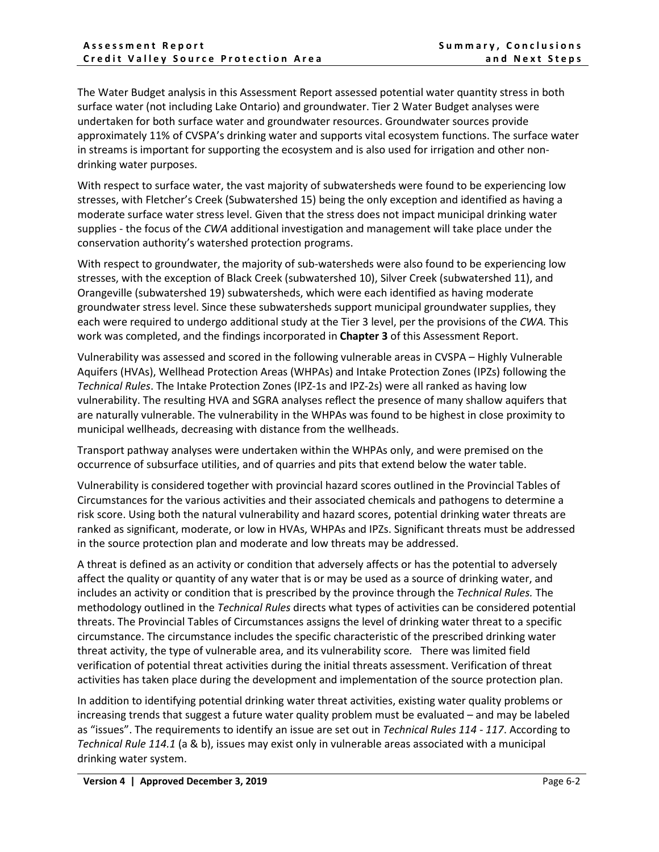The Water Budget analysis in this Assessment Report assessed potential water quantity stress in both surface water (not including Lake Ontario) and groundwater. Tier 2 Water Budget analyses were undertaken for both surface water and groundwater resources. Groundwater sources provide approximately 11% of CVSPA's drinking water and supports vital ecosystem functions. The surface water in streams is important for supporting the ecosystem and is also used for irrigation and other nondrinking water purposes.

With respect to surface water, the vast majority of subwatersheds were found to be experiencing low stresses, with Fletcher's Creek (Subwatershed 15) being the only exception and identified as having a moderate surface water stress level. Given that the stress does not impact municipal drinking water supplies - the focus of the *CWA* additional investigation and management will take place under the conservation authority's watershed protection programs.

With respect to groundwater, the majority of sub-watersheds were also found to be experiencing low stresses, with the exception of Black Creek (subwatershed 10), Silver Creek (subwatershed 11), and Orangeville (subwatershed 19) subwatersheds, which were each identified as having moderate groundwater stress level. Since these subwatersheds support municipal groundwater supplies, they each were required to undergo additional study at the Tier 3 level, per the provisions of the *CWA.* This work was completed, and the findings incorporated in **Chapter 3** of this Assessment Report.

Vulnerability was assessed and scored in the following vulnerable areas in CVSPA – Highly Vulnerable Aquifers (HVAs), Wellhead Protection Areas (WHPAs) and Intake Protection Zones (IPZs) following the *Technical Rules*. The Intake Protection Zones (IPZ-1s and IPZ-2s) were all ranked as having low vulnerability. The resulting HVA and SGRA analyses reflect the presence of many shallow aquifers that are naturally vulnerable. The vulnerability in the WHPAs was found to be highest in close proximity to municipal wellheads, decreasing with distance from the wellheads.

Transport pathway analyses were undertaken within the WHPAs only, and were premised on the occurrence of subsurface utilities, and of quarries and pits that extend below the water table.

Vulnerability is considered together with provincial hazard scores outlined in the Provincial Tables of Circumstances for the various activities and their associated chemicals and pathogens to determine a risk score. Using both the natural vulnerability and hazard scores, potential drinking water threats are ranked as significant, moderate, or low in HVAs, WHPAs and IPZs. Significant threats must be addressed in the source protection plan and moderate and low threats may be addressed.

A threat is defined as an activity or condition that adversely affects or has the potential to adversely affect the quality or quantity of any water that is or may be used as a source of drinking water, and includes an activity or condition that is prescribed by the province through the *Technical Rules.* The methodology outlined in the *Technical Rules* directs what types of activities can be considered potential threats. The Provincial Tables of Circumstances assigns the level of drinking water threat to a specific circumstance. The circumstance includes the specific characteristic of the prescribed drinking water threat activity, the type of vulnerable area, and its vulnerability score*.* There was limited field verification of potential threat activities during the initial threats assessment. Verification of threat activities has taken place during the development and implementation of the source protection plan.

In addition to identifying potential drinking water threat activities, existing water quality problems or increasing trends that suggest a future water quality problem must be evaluated – and may be labeled as "issues". The requirements to identify an issue are set out in *Technical Rules 114 - 117*. According to *Technical Rule 114.1* (a & b), issues may exist only in vulnerable areas associated with a municipal drinking water system.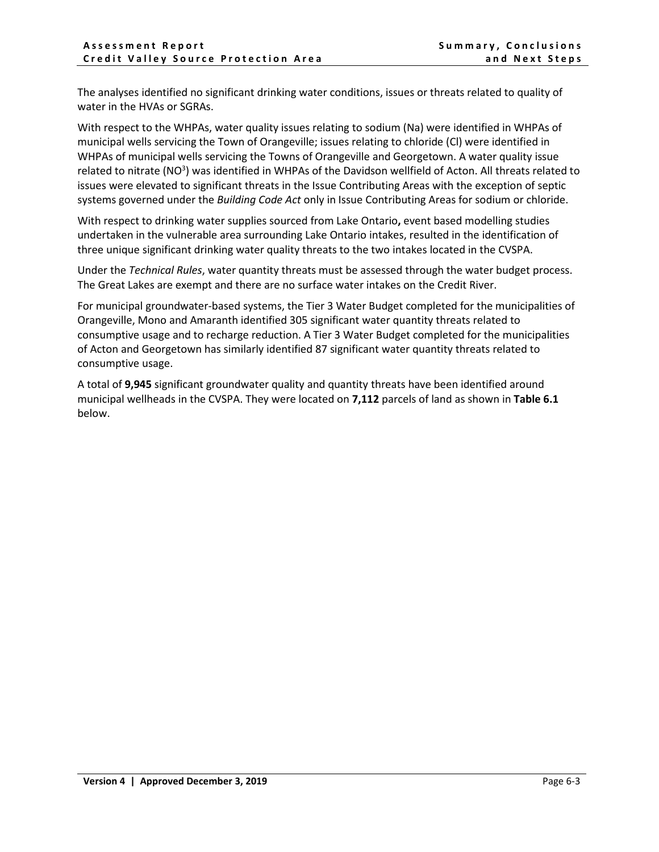The analyses identified no significant drinking water conditions, issues or threats related to quality of water in the HVAs or SGRAs.

With respect to the WHPAs, water quality issues relating to sodium (Na) were identified in WHPAs of municipal wells servicing the Town of Orangeville; issues relating to chloride (Cl) were identified in WHPAs of municipal wells servicing the Towns of Orangeville and Georgetown. A water quality issue related to nitrate (NO<sup>3</sup>) was identified in WHPAs of the Davidson wellfield of Acton. All threats related to issues were elevated to significant threats in the Issue Contributing Areas with the exception of septic systems governed under the *Building Code Act* only in Issue Contributing Areas for sodium or chloride.

With respect to drinking water supplies sourced from Lake Ontario**,** event based modelling studies undertaken in the vulnerable area surrounding Lake Ontario intakes, resulted in the identification of three unique significant drinking water quality threats to the two intakes located in the CVSPA.

Under the *Technical Rules*, water quantity threats must be assessed through the water budget process. The Great Lakes are exempt and there are no surface water intakes on the Credit River.

For municipal groundwater-based systems, the Tier 3 Water Budget completed for the municipalities of Orangeville, Mono and Amaranth identified 305 significant water quantity threats related to consumptive usage and to recharge reduction. A Tier 3 Water Budget completed for the municipalities of Acton and Georgetown has similarly identified 87 significant water quantity threats related to consumptive usage.

A total of **9,945** significant groundwater quality and quantity threats have been identified around municipal wellheads in the CVSPA. They were located on **7,112** parcels of land as shown in **Table 6.1** below.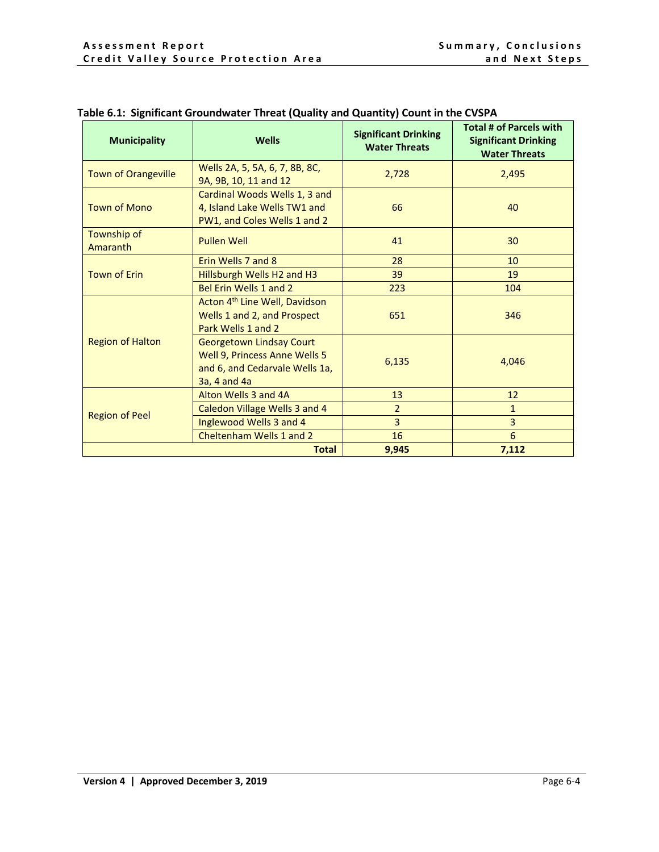| <b>Municipality</b>        | <b>Wells</b>                                                                                                       | - , ,<br><b>Significant Drinking</b><br><b>Water Threats</b> | <b>Total # of Parcels with</b><br><b>Significant Drinking</b><br><b>Water Threats</b> |
|----------------------------|--------------------------------------------------------------------------------------------------------------------|--------------------------------------------------------------|---------------------------------------------------------------------------------------|
| <b>Town of Orangeville</b> | Wells 2A, 5, 5A, 6, 7, 8B, 8C,<br>9A, 9B, 10, 11 and 12                                                            | 2,728                                                        | 2,495                                                                                 |
| <b>Town of Mono</b>        | Cardinal Woods Wells 1, 3 and<br>4, Island Lake Wells TW1 and<br>PW1, and Coles Wells 1 and 2                      | 66                                                           | 40                                                                                    |
| Township of<br>Amaranth    | <b>Pullen Well</b>                                                                                                 | 41                                                           | 30                                                                                    |
|                            | Erin Wells 7 and 8                                                                                                 | 28                                                           | 10                                                                                    |
| <b>Town of Erin</b>        | Hillsburgh Wells H2 and H3                                                                                         | 39                                                           | 19                                                                                    |
|                            | Bel Erin Wells 1 and 2                                                                                             | 223                                                          | 104                                                                                   |
|                            | Acton 4 <sup>th</sup> Line Well, Davidson<br>Wells 1 and 2, and Prospect<br>Park Wells 1 and 2                     | 651                                                          | 346                                                                                   |
| <b>Region of Halton</b>    | <b>Georgetown Lindsay Court</b><br>Well 9, Princess Anne Wells 5<br>and 6, and Cedarvale Wells 1a,<br>3a, 4 and 4a | 6,135                                                        | 4,046                                                                                 |
|                            | Alton Wells 3 and 4A                                                                                               | 13                                                           | 12                                                                                    |
|                            | Caledon Village Wells 3 and 4                                                                                      | $\overline{2}$                                               | 1                                                                                     |
| <b>Region of Peel</b>      | Inglewood Wells 3 and 4                                                                                            | 3                                                            | 3                                                                                     |
|                            | Cheltenham Wells 1 and 2                                                                                           | 16                                                           | 6                                                                                     |
|                            | <b>Total</b>                                                                                                       | 9,945                                                        | 7,112                                                                                 |

### <span id="page-4-0"></span>**Table 6.1: Significant Groundwater Threat (Quality and Quantity) Count in the CVSPA**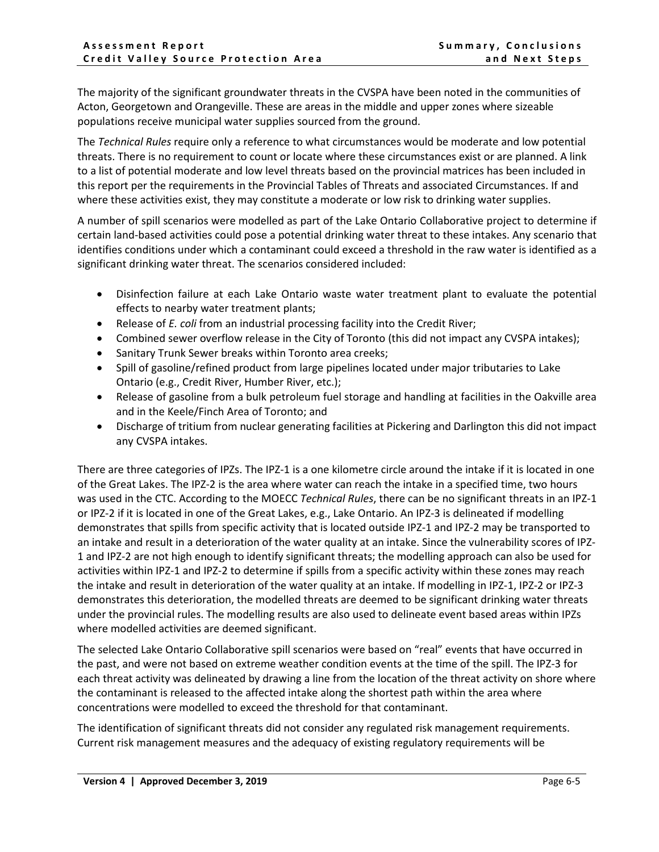The majority of the significant groundwater threats in the CVSPA have been noted in the communities of Acton, Georgetown and Orangeville. These are areas in the middle and upper zones where sizeable populations receive municipal water supplies sourced from the ground.

The *Technical Rules* require only a reference to what circumstances would be moderate and low potential threats. There is no requirement to count or locate where these circumstances exist or are planned. A link to a list of potential moderate and low level threats based on the provincial matrices has been included in this report per the requirements in the Provincial Tables of Threats and associated Circumstances. If and where these activities exist, they may constitute a moderate or low risk to drinking water supplies.

A number of spill scenarios were modelled as part of the Lake Ontario Collaborative project to determine if certain land-based activities could pose a potential drinking water threat to these intakes. Any scenario that identifies conditions under which a contaminant could exceed a threshold in the raw water is identified as a significant drinking water threat. The scenarios considered included:

- Disinfection failure at each Lake Ontario waste water treatment plant to evaluate the potential effects to nearby water treatment plants;
- Release of *E. coli* from an industrial processing facility into the Credit River;
- Combined sewer overflow release in the City of Toronto (this did not impact any CVSPA intakes);
- Sanitary Trunk Sewer breaks within Toronto area creeks;
- Spill of gasoline/refined product from large pipelines located under major tributaries to Lake Ontario (e.g., Credit River, Humber River, etc.);
- Release of gasoline from a bulk petroleum fuel storage and handling at facilities in the Oakville area and in the Keele/Finch Area of Toronto; and
- Discharge of tritium from nuclear generating facilities at Pickering and Darlington this did not impact any CVSPA intakes.

There are three categories of IPZs. The IPZ-1 is a one kilometre circle around the intake if it is located in one of the Great Lakes. The IPZ-2 is the area where water can reach the intake in a specified time, two hours was used in the CTC. According to the MOECC *Technical Rules*, there can be no significant threats in an IPZ-1 or IPZ-2 if it is located in one of the Great Lakes, e.g., Lake Ontario. An IPZ-3 is delineated if modelling demonstrates that spills from specific activity that is located outside IPZ-1 and IPZ-2 may be transported to an intake and result in a deterioration of the water quality at an intake. Since the vulnerability scores of IPZ-1 and IPZ-2 are not high enough to identify significant threats; the modelling approach can also be used for activities within IPZ-1 and IPZ-2 to determine if spills from a specific activity within these zones may reach the intake and result in deterioration of the water quality at an intake. If modelling in IPZ-1, IPZ-2 or IPZ-3 demonstrates this deterioration, the modelled threats are deemed to be significant drinking water threats under the provincial rules. The modelling results are also used to delineate event based areas within IPZs where modelled activities are deemed significant.

The selected Lake Ontario Collaborative spill scenarios were based on "real" events that have occurred in the past, and were not based on extreme weather condition events at the time of the spill. The IPZ-3 for each threat activity was delineated by drawing a line from the location of the threat activity on shore where the contaminant is released to the affected intake along the shortest path within the area where concentrations were modelled to exceed the threshold for that contaminant.

The identification of significant threats did not consider any regulated risk management requirements. Current risk management measures and the adequacy of existing regulatory requirements will be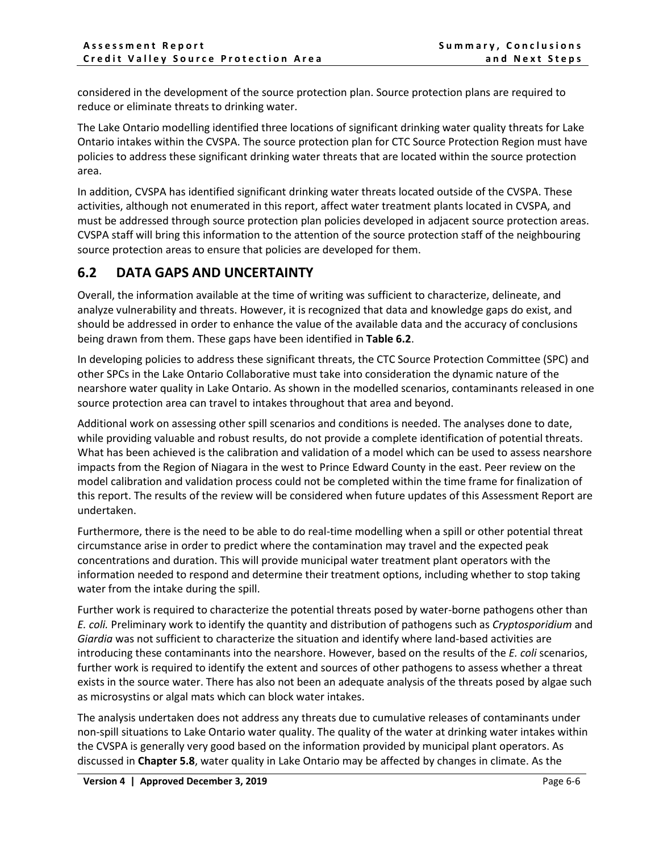considered in the development of the source protection plan. Source protection plans are required to reduce or eliminate threats to drinking water.

The Lake Ontario modelling identified three locations of significant drinking water quality threats for Lake Ontario intakes within the CVSPA. The source protection plan for CTC Source Protection Region must have policies to address these significant drinking water threats that are located within the source protection area.

In addition, CVSPA has identified significant drinking water threats located outside of the CVSPA. These activities, although not enumerated in this report, affect water treatment plants located in CVSPA, and must be addressed through source protection plan policies developed in adjacent source protection areas. CVSPA staff will bring this information to the attention of the source protection staff of the neighbouring source protection areas to ensure that policies are developed for them.

## <span id="page-6-0"></span>**6.2 DATA GAPS AND UNCERTAINTY**

Overall, the information available at the time of writing was sufficient to characterize, delineate, and analyze vulnerability and threats. However, it is recognized that data and knowledge gaps do exist, and should be addressed in order to enhance the value of the available data and the accuracy of conclusions being drawn from them. These gaps have been identified in **Table 6.2**.

In developing policies to address these significant threats, the CTC Source Protection Committee (SPC) and other SPCs in the Lake Ontario Collaborative must take into consideration the dynamic nature of the nearshore water quality in Lake Ontario. As shown in the modelled scenarios, contaminants released in one source protection area can travel to intakes throughout that area and beyond.

Additional work on assessing other spill scenarios and conditions is needed. The analyses done to date, while providing valuable and robust results, do not provide a complete identification of potential threats. What has been achieved is the calibration and validation of a model which can be used to assess nearshore impacts from the Region of Niagara in the west to Prince Edward County in the east. Peer review on the model calibration and validation process could not be completed within the time frame for finalization of this report. The results of the review will be considered when future updates of this Assessment Report are undertaken.

Furthermore, there is the need to be able to do real-time modelling when a spill or other potential threat circumstance arise in order to predict where the contamination may travel and the expected peak concentrations and duration. This will provide municipal water treatment plant operators with the information needed to respond and determine their treatment options, including whether to stop taking water from the intake during the spill.

Further work is required to characterize the potential threats posed by water-borne pathogens other than *E. coli.* Preliminary work to identify the quantity and distribution of pathogens such as *Cryptosporidium* and *Giardia* was not sufficient to characterize the situation and identify where land-based activities are introducing these contaminants into the nearshore. However, based on the results of the *E. coli* scenarios, further work is required to identify the extent and sources of other pathogens to assess whether a threat exists in the source water. There has also not been an adequate analysis of the threats posed by algae such as microsystins or algal mats which can block water intakes.

The analysis undertaken does not address any threats due to cumulative releases of contaminants under non-spill situations to Lake Ontario water quality. The quality of the water at drinking water intakes within the CVSPA is generally very good based on the information provided by municipal plant operators. As discussed in **Chapter 5.8**, water quality in Lake Ontario may be affected by changes in climate. As the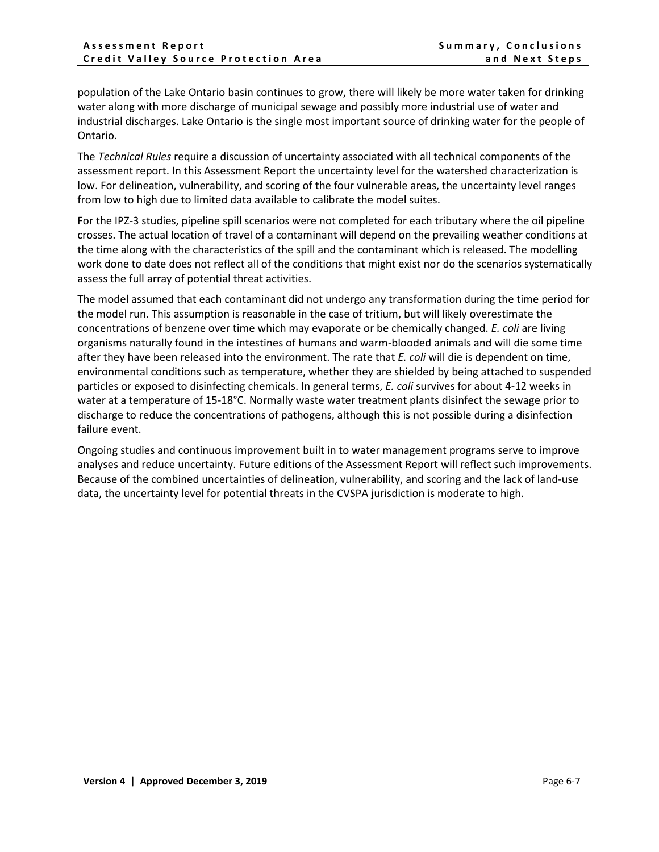population of the Lake Ontario basin continues to grow, there will likely be more water taken for drinking water along with more discharge of municipal sewage and possibly more industrial use of water and industrial discharges. Lake Ontario is the single most important source of drinking water for the people of Ontario.

The *Technical Rules* require a discussion of uncertainty associated with all technical components of the assessment report. In this Assessment Report the uncertainty level for the watershed characterization is low. For delineation, vulnerability, and scoring of the four vulnerable areas, the uncertainty level ranges from low to high due to limited data available to calibrate the model suites.

For the IPZ-3 studies, pipeline spill scenarios were not completed for each tributary where the oil pipeline crosses. The actual location of travel of a contaminant will depend on the prevailing weather conditions at the time along with the characteristics of the spill and the contaminant which is released. The modelling work done to date does not reflect all of the conditions that might exist nor do the scenarios systematically assess the full array of potential threat activities.

The model assumed that each contaminant did not undergo any transformation during the time period for the model run. This assumption is reasonable in the case of tritium, but will likely overestimate the concentrations of benzene over time which may evaporate or be chemically changed. *E. coli* are living organisms naturally found in the intestines of humans and warm-blooded animals and will die some time after they have been released into the environment. The rate that *E. coli* will die is dependent on time, environmental conditions such as temperature, whether they are shielded by being attached to suspended particles or exposed to disinfecting chemicals. In general terms, *E. coli* survives for about 4-12 weeks in water at a temperature of 15-18°C. Normally waste water treatment plants disinfect the sewage prior to discharge to reduce the concentrations of pathogens, although this is not possible during a disinfection failure event.

Ongoing studies and continuous improvement built in to water management programs serve to improve analyses and reduce uncertainty. Future editions of the Assessment Report will reflect such improvements. Because of the combined uncertainties of delineation, vulnerability, and scoring and the lack of land-use data, the uncertainty level for potential threats in the CVSPA jurisdiction is moderate to high.